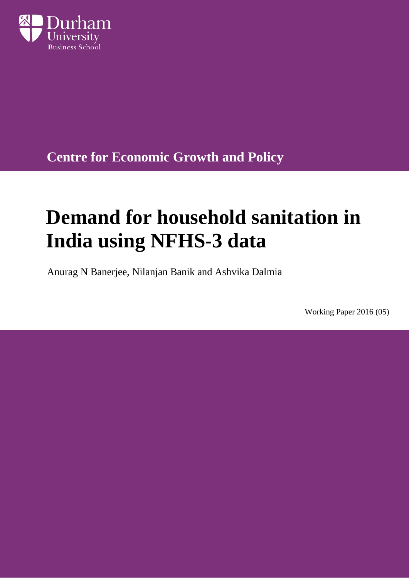

**Centre for Economic Growth and Policy**

# **Demand for household sanitation in India using NFHS-3 data**

Anurag N Banerjee, Nilanjan Banik and Ashvika Dalmia

Working Paper 2016 (05)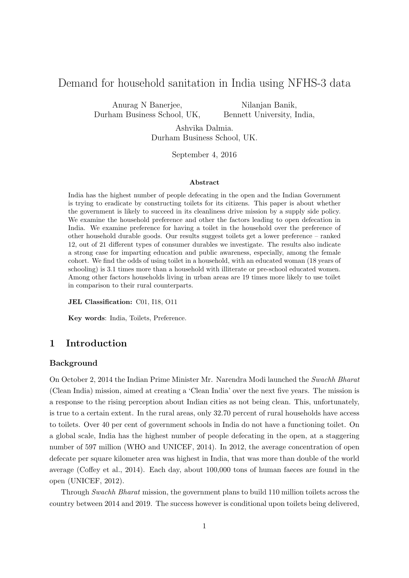## Demand for household sanitation in India using NFHS-3 data

Anurag N Banerjee, Durham Business School, UK,

Nilanjan Banik, Bennett University, India,

Ashvika Dalmia. Durham Business School, UK.

September 4, 2016

#### Abstract

India has the highest number of people defecating in the open and the Indian Government is trying to eradicate by constructing toilets for its citizens. This paper is about whether the government is likely to succeed in its cleanliness drive mission by a supply side policy. We examine the household preference and other the factors leading to open defecation in India. We examine preference for having a toilet in the household over the preference of other household durable goods. Our results suggest toilets get a lower preference – ranked 12, out of 21 different types of consumer durables we investigate. The results also indicate a strong case for imparting education and public awareness, especially, among the female cohort. We find the odds of using toilet in a household, with an educated woman (18 years of schooling) is 3.1 times more than a household with illiterate or pre-school educated women. Among other factors households living in urban areas are 19 times more likely to use toilet in comparison to their rural counterparts.

JEL Classification: C01, I18, O11

Key words: India, Toilets, Preference.

## 1 Introduction

## Background

On October 2, 2014 the Indian Prime Minister Mr. Narendra Modi launched the Swachh Bharat (Clean India) mission, aimed at creating a 'Clean India' over the next five years. The mission is a response to the rising perception about Indian cities as not being clean. This, unfortunately, is true to a certain extent. In the rural areas, only 32.70 percent of rural households have access to toilets. Over 40 per cent of government schools in India do not have a functioning toilet. On a global scale, India has the highest number of people defecating in the open, at a staggering number of 597 million (WHO and UNICEF, 2014). In 2012, the average concentration of open defecate per square kilometer area was highest in India, that was more than double of the world average (Coffey et al., 2014). Each day, about 100,000 tons of human faeces are found in the open (UNICEF, 2012).

Through Swachh Bharat mission, the government plans to build 110 million toilets across the country between 2014 and 2019. The success however is conditional upon toilets being delivered,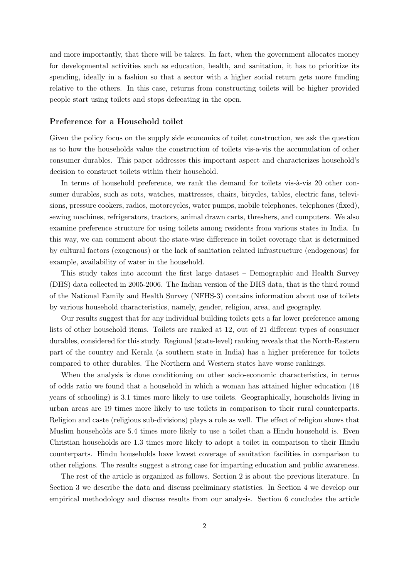and more importantly, that there will be takers. In fact, when the government allocates money for developmental activities such as education, health, and sanitation, it has to prioritize its spending, ideally in a fashion so that a sector with a higher social return gets more funding relative to the others. In this case, returns from constructing toilets will be higher provided people start using toilets and stops defecating in the open.

## Preference for a Household toilet

Given the policy focus on the supply side economics of toilet construction, we ask the question as to how the households value the construction of toilets vis-a-vis the accumulation of other consumer durables. This paper addresses this important aspect and characterizes household's decision to construct toilets within their household.

In terms of household preference, we rank the demand for toilets vis-à-vis 20 other consumer durables, such as cots, watches, mattresses, chairs, bicycles, tables, electric fans, televisions, pressure cookers, radios, motorcycles, water pumps, mobile telephones, telephones (fixed), sewing machines, refrigerators, tractors, animal drawn carts, threshers, and computers. We also examine preference structure for using toilets among residents from various states in India. In this way, we can comment about the state-wise difference in toilet coverage that is determined by cultural factors (exogenous) or the lack of sanitation related infrastructure (endogenous) for example, availability of water in the household.

This study takes into account the first large dataset – Demographic and Health Survey (DHS) data collected in 2005-2006. The Indian version of the DHS data, that is the third round of the National Family and Health Survey (NFHS-3) contains information about use of toilets by various household characteristics, namely, gender, religion, area, and geography.

Our results suggest that for any individual building toilets gets a far lower preference among lists of other household items. Toilets are ranked at 12, out of 21 different types of consumer durables, considered for this study. Regional (state-level) ranking reveals that the North-Eastern part of the country and Kerala (a southern state in India) has a higher preference for toilets compared to other durables. The Northern and Western states have worse rankings.

When the analysis is done conditioning on other socio-economic characteristics, in terms of odds ratio we found that a household in which a woman has attained higher education (18 years of schooling) is 3.1 times more likely to use toilets. Geographically, households living in urban areas are 19 times more likely to use toilets in comparison to their rural counterparts. Religion and caste (religious sub-divisions) plays a role as well. The effect of religion shows that Muslim households are 5.4 times more likely to use a toilet than a Hindu household is. Even Christian households are 1.3 times more likely to adopt a toilet in comparison to their Hindu counterparts. Hindu households have lowest coverage of sanitation facilities in comparison to other religions. The results suggest a strong case for imparting education and public awareness.

The rest of the article is organized as follows. Section 2 is about the previous literature. In Section 3 we describe the data and discuss preliminary statistics. In Section 4 we develop our empirical methodology and discuss results from our analysis. Section 6 concludes the article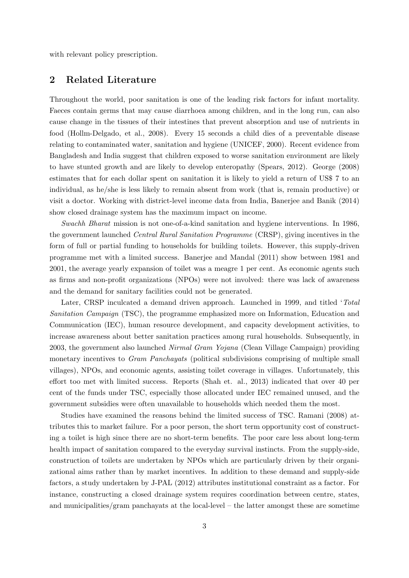with relevant policy prescription.

## 2 Related Literature

Throughout the world, poor sanitation is one of the leading risk factors for infant mortality. Faeces contain germs that may cause diarrhoea among children, and in the long run, can also cause change in the tissues of their intestines that prevent absorption and use of nutrients in food (Hollm-Delgado, et al., 2008). Every 15 seconds a child dies of a preventable disease relating to contaminated water, sanitation and hygiene (UNICEF, 2000). Recent evidence from Bangladesh and India suggest that children exposed to worse sanitation environment are likely to have stunted growth and are likely to develop enteropathy (Spears, 2012). George (2008) estimates that for each dollar spent on sanitation it is likely to yield a return of US\$ 7 to an individual, as he/she is less likely to remain absent from work (that is, remain productive) or visit a doctor. Working with district-level income data from India, Banerjee and Banik (2014) show closed drainage system has the maximum impact on income.

Swachh Bharat mission is not one-of-a-kind sanitation and hygiene interventions. In 1986, the government launched Central Rural Sanitation Programme (CRSP), giving incentives in the form of full or partial funding to households for building toilets. However, this supply-driven programme met with a limited success. Banerjee and Mandal (2011) show between 1981 and 2001, the average yearly expansion of toilet was a meagre 1 per cent. As economic agents such as firms and non-profit organizations (NPOs) were not involved: there was lack of awareness and the demand for sanitary facilities could not be generated.

Later, CRSP inculcated a demand driven approach. Launched in 1999, and titled 'Total Sanitation Campaign (TSC), the programme emphasized more on Information, Education and Communication (IEC), human resource development, and capacity development activities, to increase awareness about better sanitation practices among rural households. Subsequently, in 2003, the government also launched Nirmal Gram Yojana (Clean Village Campaign) providing monetary incentives to *Gram Panchayats* (political subdivisions comprising of multiple small villages), NPOs, and economic agents, assisting toilet coverage in villages. Unfortunately, this effort too met with limited success. Reports (Shah et. al., 2013) indicated that over 40 per cent of the funds under TSC, especially those allocated under IEC remained unused, and the government subsidies were often unavailable to households which needed them the most.

Studies have examined the reasons behind the limited success of TSC. Ramani (2008) attributes this to market failure. For a poor person, the short term opportunity cost of constructing a toilet is high since there are no short-term benefits. The poor care less about long-term health impact of sanitation compared to the everyday survival instincts. From the supply-side, construction of toilets are undertaken by NPOs which are particularly driven by their organizational aims rather than by market incentives. In addition to these demand and supply-side factors, a study undertaken by J-PAL (2012) attributes institutional constraint as a factor. For instance, constructing a closed drainage system requires coordination between centre, states, and municipalities/gram panchayats at the local-level – the latter amongst these are sometime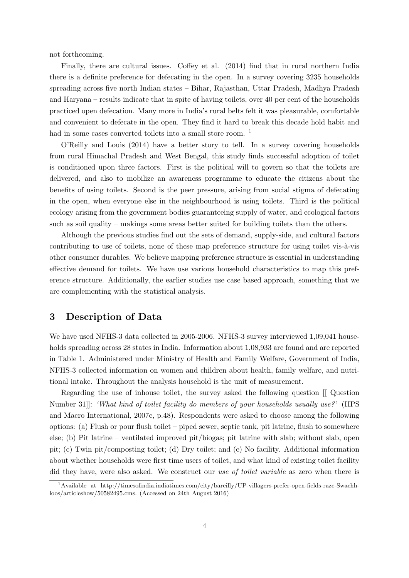not forthcoming.

Finally, there are cultural issues. Coffey et al. (2014) find that in rural northern India there is a definite preference for defecating in the open. In a survey covering 3235 households spreading across five north Indian states – Bihar, Rajasthan, Uttar Pradesh, Madhya Pradesh and Haryana – results indicate that in spite of having toilets, over 40 per cent of the households practiced open defecation. Many more in India's rural belts felt it was pleasurable, comfortable and convenient to defecate in the open. They find it hard to break this decade hold habit and had in some cases converted toilets into a small store room. <sup>1</sup>

O'Reilly and Louis (2014) have a better story to tell. In a survey covering households from rural Himachal Pradesh and West Bengal, this study finds successful adoption of toilet is conditioned upon three factors. First is the political will to govern so that the toilets are delivered, and also to mobilize an awareness programme to educate the citizens about the benefits of using toilets. Second is the peer pressure, arising from social stigma of defecating in the open, when everyone else in the neighbourhood is using toilets. Third is the political ecology arising from the government bodies guaranteeing supply of water, and ecological factors such as soil quality – makings some areas better suited for building toilets than the others.

Although the previous studies find out the sets of demand, supply-side, and cultural factors contributing to use of toilets, none of these map preference structure for using toilet vis- $\lambda$ -vis other consumer durables. We believe mapping preference structure is essential in understanding effective demand for toilets. We have use various household characteristics to map this preference structure. Additionally, the earlier studies use case based approach, something that we are complementing with the statistical analysis.

## 3 Description of Data

We have used NFHS-3 data collected in 2005-2006. NFHS-3 survey interviewed 1,09,041 households spreading across 28 states in India. Information about 1,08,933 are found and are reported in Table 1. Administered under Ministry of Health and Family Welfare, Government of India, NFHS-3 collected information on women and children about health, family welfare, and nutritional intake. Throughout the analysis household is the unit of measurement.

Regarding the use of inhouse toilet, the survey asked the following question [[ Question Number 31]]: 'What kind of toilet facility do members of your households usually use?' (IIPS and Macro International, 2007c, p.48). Respondents were asked to choose among the following options: (a) Flush or pour flush toilet – piped sewer, septic tank, pit latrine, flush to somewhere else; (b) Pit latrine – ventilated improved pit/biogas; pit latrine with slab; without slab, open pit; (c) Twin pit/composting toilet; (d) Dry toilet; and (e) No facility. Additional information about whether households were first time users of toilet, and what kind of existing toilet facility did they have, were also asked. We construct our use of toilet variable as zero when there is

<sup>1</sup>Available at http://timesofindia.indiatimes.com/city/bareilly/UP-villagers-prefer-open-fields-raze-Swachhloos/articleshow/50582495.cms. (Accessed on 24th August 2016)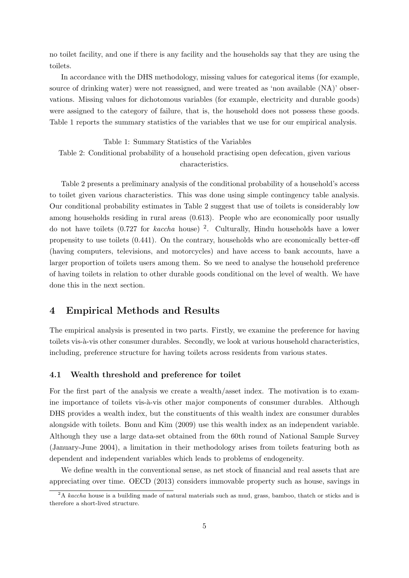no toilet facility, and one if there is any facility and the households say that they are using the toilets.

In accordance with the DHS methodology, missing values for categorical items (for example, source of drinking water) were not reassigned, and were treated as 'non available (NA)' observations. Missing values for dichotomous variables (for example, electricity and durable goods) were assigned to the category of failure, that is, the household does not possess these goods. Table 1 reports the summary statistics of the variables that we use for our empirical analysis.

Table 1: Summary Statistics of the Variables Table 2: Conditional probability of a household practising open defecation, given various characteristics.

Table 2 presents a preliminary analysis of the conditional probability of a household's access to toilet given various characteristics. This was done using simple contingency table analysis. Our conditional probability estimates in Table 2 suggest that use of toilets is considerably low among households residing in rural areas (0.613). People who are economically poor usually do not have toilets  $(0.727$  for *kaccha* house)<sup>2</sup>. Culturally, Hindu households have a lower propensity to use toilets (0.441). On the contrary, households who are economically better-off (having computers, televisions, and motorcycles) and have access to bank accounts, have a larger proportion of toilets users among them. So we need to analyse the household preference of having toilets in relation to other durable goods conditional on the level of wealth. We have done this in the next section.

## 4 Empirical Methods and Results

The empirical analysis is presented in two parts. Firstly, we examine the preference for having toilets vis-à-vis other consumer durables. Secondly, we look at various household characteristics, including, preference structure for having toilets across residents from various states.

#### 4.1 Wealth threshold and preference for toilet

For the first part of the analysis we create a wealth/asset index. The motivation is to examine importance of toilets vis-à-vis other major components of consumer durables. Although DHS provides a wealth index, but the constituents of this wealth index are consumer durables alongside with toilets. Bonu and Kim (2009) use this wealth index as an independent variable. Although they use a large data-set obtained from the 60th round of National Sample Survey (January-June 2004), a limitation in their methodology arises from toilets featuring both as dependent and independent variables which leads to problems of endogeneity.

We define wealth in the conventional sense, as net stock of financial and real assets that are appreciating over time. OECD (2013) considers immovable property such as house, savings in

 $2A$  kaccha house is a building made of natural materials such as mud, grass, bamboo, thatch or sticks and is therefore a short-lived structure.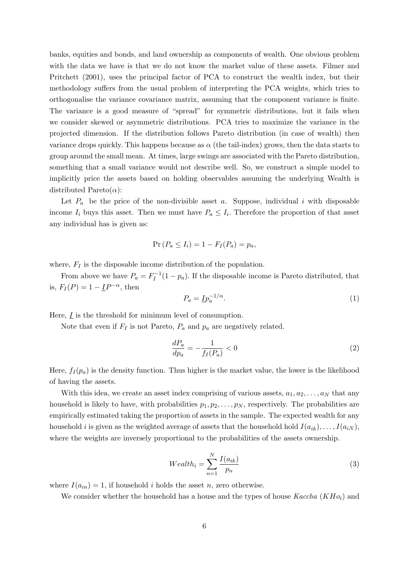banks, equities and bonds, and land ownership as components of wealth. One obvious problem with the data we have is that we do not know the market value of these assets. Filmer and Pritchett (2001), uses the principal factor of PCA to construct the wealth index, but their methodology suffers from the usual problem of interpreting the PCA weights, which tries to orthogonalise the variance covariance matrix, assuming that the component variance is finite. The variance is a good measure of "spread" for symmetric distributions, but it fails when we consider skewed or asymmetric distributions. PCA tries to maximize the variance in the projected dimension. If the distribution follows Pareto distribution (in case of wealth) then variance drops quickly. This happens because as  $\alpha$  (the tail-index) grows, then the data starts to group around the small mean. At times, large swings are associated with the Pareto distribution, something that a small variance would not describe well. So, we construct a simple model to implicitly price the assets based on holding observables assuming the underlying Wealth is distributed Pareto $(\alpha)$ :

Let  $P_a$  be the price of the non-divisible asset a. Suppose, individual i with disposable income  $I_i$  buys this asset. Then we must have  $P_a \leq I_i$ . Therefore the proportion of that asset any individual has is given as:

$$
\Pr\left(P_a \le I_i\right) = 1 - F_I(P_a) = p_a,
$$

where,  $F_I$  is the disposable income distribution of the population.

From above we have  $P_a = F_I^{-1}$  $I_I^{-1}(1-p_a)$ . If the disposable income is Pareto distributed, that is,  $F_I(P) = 1 - \underline{I}P^{-\alpha}$ , then

$$
P_a = \underline{I}p_a^{-1/\alpha}.\tag{1}
$$

Here,  $\underline{I}$  is the threshold for minimum level of consumption.

Note that even if  $F_I$  is not Pareto,  $P_a$  and  $p_a$  are negatively related.

$$
\frac{dP_a}{dp_a} = -\frac{1}{f_I(P_a)} < 0\tag{2}
$$

Here,  $f_I(p_a)$  is the density function. Thus higher is the market value, the lower is the likelihood of having the assets.

With this idea, we create an asset index comprising of various assets,  $a_1, a_2, \ldots, a_N$  that any household is likely to have, with probabilities  $p_1, p_2, \ldots, p_N$ , respectively. The probabilities are empirically estimated taking the proportion of assets in the sample. The expected wealth for any household i is given as the weighted average of assets that the household hold  $I(a_{ik}), \ldots, I(a_{iN}),$ where the weights are inversely proportional to the probabilities of the assets ownership.

$$
Wealth_i = \sum_{n=1}^{N} \frac{I(a_{ik})}{p_n}
$$
\n<sup>(3)</sup>

where  $I(a_{in}) = 1$ , if household i holds the asset n, zero otherwise.

We consider whether the household has a house and the types of house  $Kaccha (KH_{0i})$  and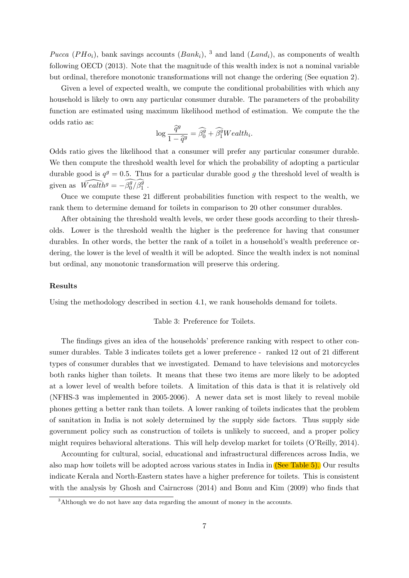Pucca (PH $o_i$ ), bank savings accounts (Bank<sub>i</sub>), <sup>3</sup> and land (Land<sub>i</sub>), as components of wealth following OECD (2013). Note that the magnitude of this wealth index is not a nominal variable but ordinal, therefore monotonic transformations will not change the ordering (See equation 2).

Given a level of expected wealth, we compute the conditional probabilities with which any household is likely to own any particular consumer durable. The parameters of the probability function are estimated using maximum likelihood method of estimation. We compute the the odds ratio as:

$$
\log \frac{\widehat{q}^g}{1 - \widehat{q}^g} = \widehat{\beta}_0^g + \widehat{\beta}_1^g Wealth_i.
$$

Odds ratio gives the likelihood that a consumer will prefer any particular consumer durable. We then compute the threshold wealth level for which the probability of adopting a particular durable good is  $q^g = 0.5$ . Thus for a particular durable good g the threshold level of wealth is given as  $\widehat{Weakh}^g = -\widehat{\beta_0^g/\widehat{\beta_1^g}}$ .

Once we compute these 21 different probabilities function with respect to the wealth, we rank them to determine demand for toilets in comparison to 20 other consumer durables.

After obtaining the threshold wealth levels, we order these goods according to their thresholds. Lower is the threshold wealth the higher is the preference for having that consumer durables. In other words, the better the rank of a toilet in a household's wealth preference ordering, the lower is the level of wealth it will be adopted. Since the wealth index is not nominal but ordinal, any monotonic transformation will preserve this ordering.

#### Results

Using the methodology described in section 4.1, we rank households demand for toilets.

#### Table 3: Preference for Toilets.

The findings gives an idea of the households' preference ranking with respect to other consumer durables. Table 3 indicates toilets get a lower preference - ranked 12 out of 21 different types of consumer durables that we investigated. Demand to have televisions and motorcycles both ranks higher than toilets. It means that these two items are more likely to be adopted at a lower level of wealth before toilets. A limitation of this data is that it is relatively old (NFHS-3 was implemented in 2005-2006). A newer data set is most likely to reveal mobile phones getting a better rank than toilets. A lower ranking of toilets indicates that the problem of sanitation in India is not solely determined by the supply side factors. Thus supply side government policy such as construction of toilets is unlikely to succeed, and a proper policy might requires behavioral alterations. This will help develop market for toilets (O'Reilly, 2014).

Accounting for cultural, social, educational and infrastructural differences across India, we also map how toilets will be adopted across various states in India in (See Table 5). Our results indicate Kerala and North-Eastern states have a higher preference for toilets. This is consistent with the analysis by Ghosh and Cairncross (2014) and Bonu and Kim (2009) who finds that

<sup>&</sup>lt;sup>3</sup>Although we do not have any data regarding the amount of money in the accounts.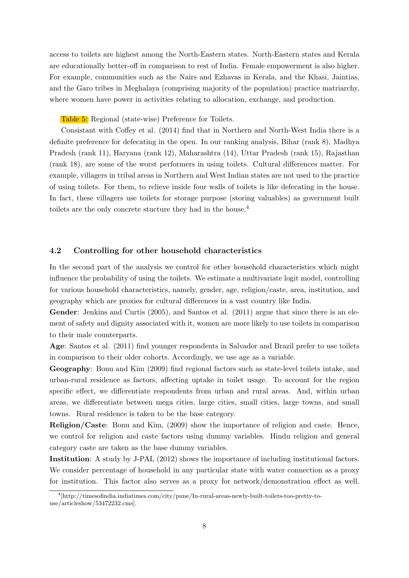access to toilets are highest among the North-Eastern states. North-Eastern states and Kerala are educationally better-off in comparison to rest of India. Female empowerment is also higher. For example, communities such as the Nairs and Ezhavas in Kerala, and the Khasi, Jaintias, and the Garo tribes in Meghalaya (comprising majority of the population) practice matriarchy, where women have power in activities relating to allocation, exchange, and production.

Table 5: Regional (state-wise) Preference for Toilets.

Consistant with Coffey et al. (2014) find that in Northern and North-West India there is a definite preference for defecating in the open. In our ranking analysis, Bihar (rank 8), Madhya Pradesh (rank 11), Haryana (rank 12), Maharashtra (14), Uttar Pradesh (rank 15), Rajasthan (rank 18), are some of the worst performers in using toilets. Cultural differences matter. For example, villagers in tribal areas in Northern and West Indian states are not used to the practice of using toilets. For them, to relieve inside four walls of toilets is like defecating in the house. In fact, these villagers use toilets for storage purpose (storing valuables) as government built toilets are the only concrete stucture they had in the house.<sup>4</sup>

#### 4.2 Controlling for other household characteristics

In the second part of the analysis we control for other household characteristics which might influence the probability of using the toilets. We estimate a multivariate logit model, controlling for various household characteristics, namely, gender, age, religion/caste, area, institution, and geography which are proxies for cultural differences in a vast country like India.

Gender: Jenkins and Curtis (2005), and Santos et al. (2011) argue that since there is an element of safety and dignity associated with it, women are more likely to use toilets in comparison to their male counterparts.

Age: Santos et al. (2011) find younger respondents in Salvador and Brazil prefer to use toilets in comparison to their older cohorts. Accordingly, we use age as a variable.

Geography: Bonu and Kim (2009) find regional factors such as state-level toilets intake, and urban-rural residence as factors, affecting uptake in toilet usage. To account for the region specific effect, we differentiate respondents from urban and rural areas. And, within urban areas, we differentiate between mega cities, large cities, small cities, large towns, and small towns. Rural residence is taken to be the base category.

Religion/Caste: Bonu and Kim, (2009) show the importance of religion and caste. Hence, we control for religion and caste factors using dummy variables. Hindu religion and general category caste are taken as the base dummy variables.

Institution: A study by J-PAL (2012) shows the importance of including institutional factors. We consider percentage of household in any particular state with water connection as a proxy for institution. This factor also serves as a proxy for network/demonstration effect as well.

<sup>4</sup> [http://timesofindia.indiatimes.com/city/pune/In-rural-areas-newly-built-toilets-too-pretty-touse/articleshow/53472232.cms].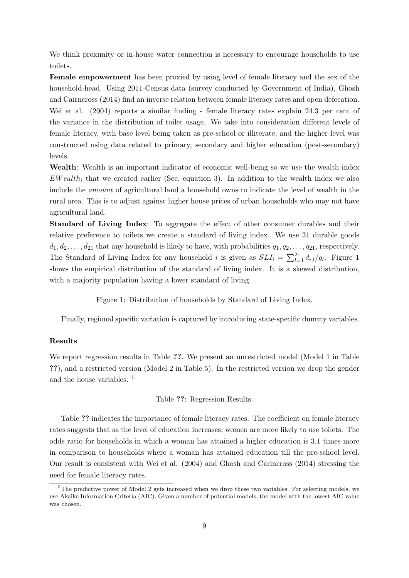We think proximity or in-house water connection is necessary to encourage households to use toilets.

Female empowerment has been proxied by using level of female literacy and the sex of the household-head. Using 2011-Census data (survey conducted by Government of India), Ghosh and Cairncross (2014) find an inverse relation between female literacy rates and open defecation. Wei et al. (2004) reports a similar finding - female literacy rates explain 24.3 per cent of the variance in the distribution of toilet usage. We take into consideration different levels of female literacy, with base level being taken as pre-school or illiterate, and the higher level was constructed using data related to primary, secondary and higher education (post-secondary) levels.

Wealth: Wealth is an important indicator of economic well-being so we use the wealth index  $EWealth_i$  that we created earlier (See, equation 3). In addition to the wealth index we also include the amount of agricultural land a household owns to indicate the level of wealth in the rural area. This is to adjust against higher house prices of urban households who may not have agricultural land.

Standard of Living Index: To aggregate the effect of other consumer durables and their relative preference to toilets we create a standard of living index. We use 21 durable goods  $d_1, d_2, \ldots, d_{21}$  that any household is likely to have, with probabilities  $q_1, q_2, \ldots, q_{21}$ , respectively. The Standard of Living Index for any household i is given as  $SLI_i = \sum_{l=1}^{21} d_{i,l}/q_l$ . Figure 1 shows the empirical distribution of the standard of living index. It is a skewed distribution, with a majority population having a lower standard of living.

Figure 1: Distribution of households by Standard of Living Index.

Finally, regional specific variation is captured by introducing state-specific dummy variables.

## Results

We report regression results in Table ??. We present an unrestricted model (Model 1 in Table ??), and a restricted version (Model 2 in Table 5). In the restricted version we drop the gender and the house variables. <sup>5</sup>

Table ??: Regression Results.

Table ?? indicates the importance of female literacy rates. The coefficient on female literacy rates suggests that as the level of education increases, women are more likely to use toilets. The odds ratio for households in which a woman has attained a higher education is 3.1 times more in comparison to households where a woman has attained education till the pre-school level. Our result is consistent with Wei et al. (2004) and Ghosh and Carincross (2014) stressing the need for female literacy rates.

<sup>&</sup>lt;sup>5</sup>The predictive power of Model 2 gets increased when we drop these two variables. For selecting models, we use Akaike Information Criteria (AIC). Given a number of potential models, the model with the lowest AIC value was chosen.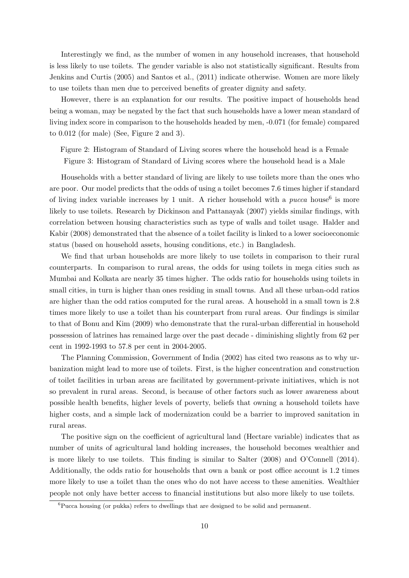Interestingly we find, as the number of women in any household increases, that household is less likely to use toilets. The gender variable is also not statistically significant. Results from Jenkins and Curtis (2005) and Santos et al., (2011) indicate otherwise. Women are more likely to use toilets than men due to perceived benefits of greater dignity and safety.

However, there is an explanation for our results. The positive impact of households head being a woman, may be negated by the fact that such households have a lower mean standard of living index score in comparison to the households headed by men, -0.071 (for female) compared to 0.012 (for male) (See, Figure 2 and 3).

Figure 2: Histogram of Standard of Living scores where the household head is a Female Figure 3: Histogram of Standard of Living scores where the household head is a Male

Households with a better standard of living are likely to use toilets more than the ones who are poor. Our model predicts that the odds of using a toilet becomes 7.6 times higher if standard of living index variable increases by 1 unit. A richer household with a  $pucca$  house<sup>6</sup> is more likely to use toilets. Research by Dickinson and Pattanayak (2007) yields similar findings, with correlation between housing characteristics such as type of walls and toilet usage. Halder and Kabir (2008) demonstrated that the absence of a toilet facility is linked to a lower socioeconomic status (based on household assets, housing conditions, etc.) in Bangladesh.

We find that urban households are more likely to use toilets in comparison to their rural counterparts. In comparison to rural areas, the odds for using toilets in mega cities such as Mumbai and Kolkata are nearly 35 times higher. The odds ratio for households using toilets in small cities, in turn is higher than ones residing in small towns. And all these urban-odd ratios are higher than the odd ratios computed for the rural areas. A household in a small town is 2.8 times more likely to use a toilet than his counterpart from rural areas. Our findings is similar to that of Bonu and Kim (2009) who demonstrate that the rural-urban differential in household possession of latrines has remained large over the past decade - diminishing slightly from 62 per cent in 1992-1993 to 57.8 per cent in 2004-2005.

The Planning Commission, Government of India (2002) has cited two reasons as to why urbanization might lead to more use of toilets. First, is the higher concentration and construction of toilet facilities in urban areas are facilitated by government-private initiatives, which is not so prevalent in rural areas. Second, is because of other factors such as lower awareness about possible health benefits, higher levels of poverty, beliefs that owning a household toilets have higher costs, and a simple lack of modernization could be a barrier to improved sanitation in rural areas.

The positive sign on the coefficient of agricultural land (Hectare variable) indicates that as number of units of agricultural land holding increases, the household becomes wealthier and is more likely to use toilets. This finding is similar to Salter (2008) and O'Connell (2014). Additionally, the odds ratio for households that own a bank or post office account is 1.2 times more likely to use a toilet than the ones who do not have access to these amenities. Wealthier people not only have better access to financial institutions but also more likely to use toilets.

<sup>6</sup>Pucca housing (or pukka) refers to dwellings that are designed to be solid and permanent.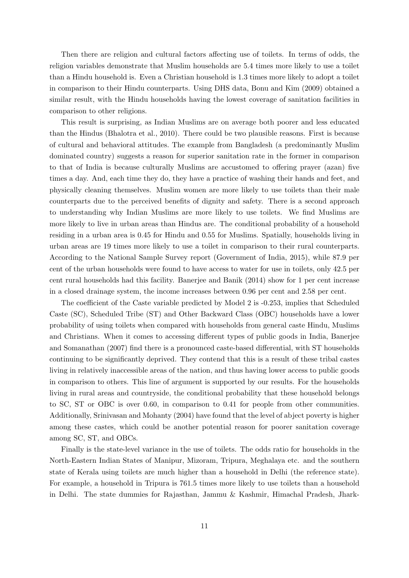Then there are religion and cultural factors affecting use of toilets. In terms of odds, the religion variables demonstrate that Muslim households are 5.4 times more likely to use a toilet than a Hindu household is. Even a Christian household is 1.3 times more likely to adopt a toilet in comparison to their Hindu counterparts. Using DHS data, Bonu and Kim (2009) obtained a similar result, with the Hindu households having the lowest coverage of sanitation facilities in comparison to other religions.

This result is surprising, as Indian Muslims are on average both poorer and less educated than the Hindus (Bhalotra et al., 2010). There could be two plausible reasons. First is because of cultural and behavioral attitudes. The example from Bangladesh (a predominantly Muslim dominated country) suggests a reason for superior sanitation rate in the former in comparison to that of India is because culturally Muslims are accustomed to offering prayer (azan) five times a day. And, each time they do, they have a practice of washing their hands and feet, and physically cleaning themselves. Muslim women are more likely to use toilets than their male counterparts due to the perceived benefits of dignity and safety. There is a second approach to understanding why Indian Muslims are more likely to use toilets. We find Muslims are more likely to live in urban areas than Hindus are. The conditional probability of a household residing in a urban area is 0.45 for Hindu and 0.55 for Muslims. Spatially, households living in urban areas are 19 times more likely to use a toilet in comparison to their rural counterparts. According to the National Sample Survey report (Government of India, 2015), while 87.9 per cent of the urban households were found to have access to water for use in toilets, only 42.5 per cent rural households had this facility. Banerjee and Banik (2014) show for 1 per cent increase in a closed drainage system, the income increases between 0.96 per cent and 2.58 per cent.

The coefficient of the Caste variable predicted by Model 2 is -0.253, implies that Scheduled Caste (SC), Scheduled Tribe (ST) and Other Backward Class (OBC) households have a lower probability of using toilets when compared with households from general caste Hindu, Muslims and Christians. When it comes to accessing different types of public goods in India, Banerjee and Somanathan (2007) find there is a pronounced caste-based differential, with ST households continuing to be significantly deprived. They contend that this is a result of these tribal castes living in relatively inaccessible areas of the nation, and thus having lower access to public goods in comparison to others. This line of argument is supported by our results. For the households living in rural areas and countryside, the conditional probability that these household belongs to SC, ST or OBC is over 0.60, in comparison to 0.41 for people from other communities. Additionally, Srinivasan and Mohanty (2004) have found that the level of abject poverty is higher among these castes, which could be another potential reason for poorer sanitation coverage among SC, ST, and OBCs.

Finally is the state-level variance in the use of toilets. The odds ratio for households in the North-Eastern Indian States of Manipur, Mizoram, Tripura, Meghalaya etc. and the southern state of Kerala using toilets are much higher than a household in Delhi (the reference state). For example, a household in Tripura is 761.5 times more likely to use toilets than a household in Delhi. The state dummies for Rajasthan, Jammu & Kashmir, Himachal Pradesh, Jhark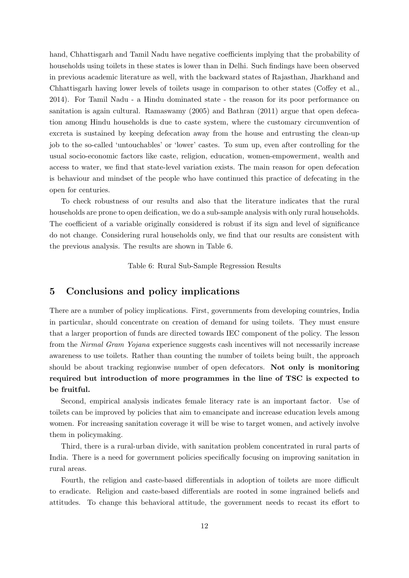hand, Chhattisgarh and Tamil Nadu have negative coefficients implying that the probability of households using toilets in these states is lower than in Delhi. Such findings have been observed in previous academic literature as well, with the backward states of Rajasthan, Jharkhand and Chhattisgarh having lower levels of toilets usage in comparison to other states (Coffey et al., 2014). For Tamil Nadu - a Hindu dominated state - the reason for its poor performance on sanitation is again cultural. Ramaswamy (2005) and Bathran (2011) argue that open defecation among Hindu households is due to caste system, where the customary circumvention of excreta is sustained by keeping defecation away from the house and entrusting the clean-up job to the so-called 'untouchables' or 'lower' castes. To sum up, even after controlling for the usual socio-economic factors like caste, religion, education, women-empowerment, wealth and access to water, we find that state-level variation exists. The main reason for open defecation is behaviour and mindset of the people who have continued this practice of defecating in the open for centuries.

To check robustness of our results and also that the literature indicates that the rural households are prone to open deification, we do a sub-sample analysis with only rural households. The coefficient of a variable originally considered is robust if its sign and level of significance do not change. Considering rural households only, we find that our results are consistent with the previous analysis. The results are shown in Table 6.

Table 6: Rural Sub-Sample Regression Results

## 5 Conclusions and policy implications

There are a number of policy implications. First, governments from developing countries, India in particular, should concentrate on creation of demand for using toilets. They must ensure that a larger proportion of funds are directed towards IEC component of the policy. The lesson from the Nirmal Gram Yojana experience suggests cash incentives will not necessarily increase awareness to use toilets. Rather than counting the number of toilets being built, the approach should be about tracking regionwise number of open defecators. Not only is monitoring required but introduction of more programmes in the line of TSC is expected to be fruitful.

Second, empirical analysis indicates female literacy rate is an important factor. Use of toilets can be improved by policies that aim to emancipate and increase education levels among women. For increasing sanitation coverage it will be wise to target women, and actively involve them in policymaking.

Third, there is a rural-urban divide, with sanitation problem concentrated in rural parts of India. There is a need for government policies specifically focusing on improving sanitation in rural areas.

Fourth, the religion and caste-based differentials in adoption of toilets are more difficult to eradicate. Religion and caste-based differentials are rooted in some ingrained beliefs and attitudes. To change this behavioral attitude, the government needs to recast its effort to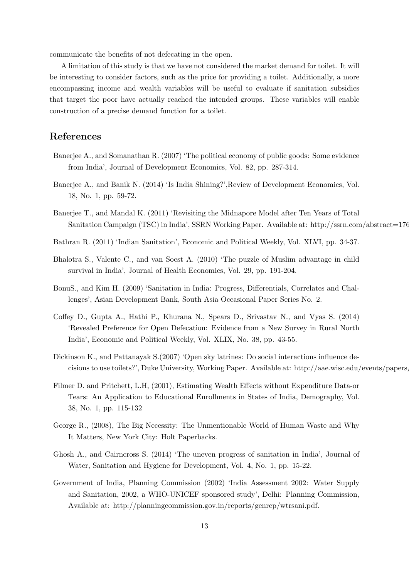communicate the benefits of not defecating in the open.

A limitation of this study is that we have not considered the market demand for toilet. It will be interesting to consider factors, such as the price for providing a toilet. Additionally, a more encompassing income and wealth variables will be useful to evaluate if sanitation subsidies that target the poor have actually reached the intended groups. These variables will enable construction of a precise demand function for a toilet.

## References

- Banerjee A., and Somanathan R. (2007) 'The political economy of public goods: Some evidence from India', Journal of Development Economics, Vol. 82, pp. 287-314.
- Banerjee A., and Banik N. (2014) 'Is India Shining?',Review of Development Economics, Vol. 18, No. 1, pp. 59-72.
- Banerjee T., and Mandal K. (2011) 'Revisiting the Midnapore Model after Ten Years of Total Sanitation Campaign (TSC) in India', SSRN Working Paper. Available at: http://ssrn.com/abstract=176
- Bathran R. (2011) 'Indian Sanitation', Economic and Political Weekly, Vol. XLVI, pp. 34-37.
- Bhalotra S., Valente C., and van Soest A. (2010) 'The puzzle of Muslim advantage in child survival in India', Journal of Health Economics, Vol. 29, pp. 191-204.
- BonuS., and Kim H. (2009) 'Sanitation in India: Progress, Differentials, Correlates and Challenges', Asian Development Bank, South Asia Occasional Paper Series No. 2.
- Coffey D., Gupta A., Hathi P., Khurana N., Spears D., Srivastav N., and Vyas S. (2014) 'Revealed Preference for Open Defecation: Evidence from a New Survey in Rural North India', Economic and Political Weekly, Vol. XLIX, No. 38, pp. 43-55.
- Dickinson K., and Pattanayak S.(2007) 'Open sky latrines: Do social interactions influence decisions to use toilets?', Duke University, Working Paper. Available at: http://aae.wisc.edu/events/papers,
- Filmer D. and Pritchett, L.H, (2001), Estimating Wealth Effects without Expenditure Data-or Tears: An Application to Educational Enrollments in States of India, Demography, Vol. 38, No. 1, pp. 115-132
- George R., (2008), The Big Necessity: The Unmentionable World of Human Waste and Why It Matters, New York City: Holt Paperbacks.
- Ghosh A., and Cairncross S. (2014) 'The uneven progress of sanitation in India', Journal of Water, Sanitation and Hygiene for Development, Vol. 4, No. 1, pp. 15-22.
- Government of India, Planning Commission (2002) 'India Assessment 2002: Water Supply and Sanitation, 2002, a WHO-UNICEF sponsored study', Delhi: Planning Commission, Available at: http://planningcommission.gov.in/reports/genrep/wtrsani.pdf.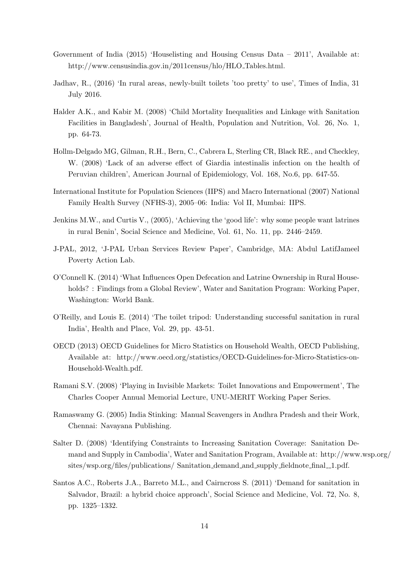- Government of India (2015) 'Houselisting and Housing Census Data 2011', Available at: http://www.censusindia.gov.in/2011census/hlo/HLO Tables.html.
- Jadhav, R., (2016) 'In rural areas, newly-built toilets 'too pretty' to use', Times of India, 31 July 2016.
- Halder A.K., and Kabir M. (2008) 'Child Mortality Inequalities and Linkage with Sanitation Facilities in Bangladesh', Journal of Health, Population and Nutrition, Vol. 26, No. 1, pp. 64-73.
- Hollm-Delgado MG, Gilman, R.H., Bern, C., Cabrera L, Sterling CR, Black RE., and Checkley, W. (2008) 'Lack of an adverse effect of Giardia intestinalis infection on the health of Peruvian children', American Journal of Epidemiology, Vol. 168, No.6, pp. 647-55.
- International Institute for Population Sciences (IIPS) and Macro International (2007) National Family Health Survey (NFHS-3), 2005–06: India: Vol II, Mumbai: IIPS.
- Jenkins M.W., and Curtis V., (2005), 'Achieving the 'good life': why some people want latrines in rural Benin', Social Science and Medicine, Vol. 61, No. 11, pp. 2446–2459.
- J-PAL, 2012, 'J-PAL Urban Services Review Paper', Cambridge, MA: Abdul LatifJameel Poverty Action Lab.
- O'Connell K. (2014) 'What Influences Open Defecation and Latrine Ownership in Rural Households? : Findings from a Global Review', Water and Sanitation Program: Working Paper, Washington: World Bank.
- O'Reilly, and Louis E. (2014) 'The toilet tripod: Understanding successful sanitation in rural India', Health and Place, Vol. 29, pp. 43-51.
- OECD (2013) OECD Guidelines for Micro Statistics on Household Wealth, OECD Publishing, Available at: http://www.oecd.org/statistics/OECD-Guidelines-for-Micro-Statistics-on-Household-Wealth.pdf.
- Ramani S.V. (2008) 'Playing in Invisible Markets: Toilet Innovations and Empowerment', The Charles Cooper Annual Memorial Lecture, UNU-MERIT Working Paper Series.
- Ramaswamy G. (2005) India Stinking: Manual Scavengers in Andhra Pradesh and their Work, Chennai: Navayana Publishing.
- Salter D. (2008) 'Identifying Constraints to Increasing Sanitation Coverage: Sanitation Demand and Supply in Cambodia', Water and Sanitation Program, Available at: http://www.wsp.org/ sites/wsp.org/files/publications/ Sanitation\_demand\_and\_supply\_fieldnote\_final\_1.pdf.
- Santos A.C., Roberts J.A., Barreto M.L., and Cairncross S. (2011) 'Demand for sanitation in Salvador, Brazil: a hybrid choice approach', Social Science and Medicine, Vol. 72, No. 8, pp. 1325–1332.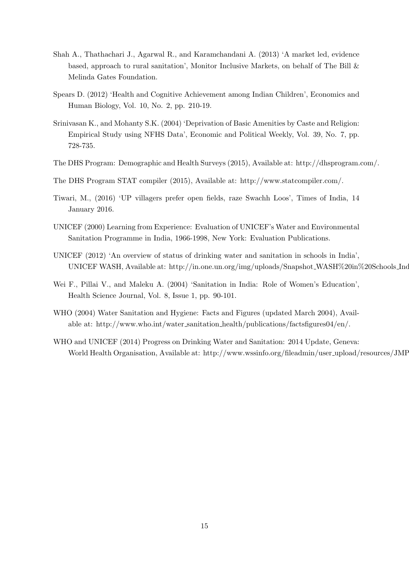- Shah A., Thathachari J., Agarwal R., and Karamchandani A. (2013) 'A market led, evidence based, approach to rural sanitation', Monitor Inclusive Markets, on behalf of The Bill & Melinda Gates Foundation.
- Spears D. (2012) 'Health and Cognitive Achievement among Indian Children', Economics and Human Biology, Vol. 10, No. 2, pp. 210-19.
- Srinivasan K., and Mohanty S.K. (2004) 'Deprivation of Basic Amenities by Caste and Religion: Empirical Study using NFHS Data', Economic and Political Weekly, Vol. 39, No. 7, pp. 728-735.
- The DHS Program: Demographic and Health Surveys (2015), Available at: http://dhsprogram.com/.
- The DHS Program STAT compiler (2015), Available at: http://www.statcompiler.com/.
- Tiwari, M., (2016) 'UP villagers prefer open fields, raze Swachh Loos', Times of India, 14 January 2016.
- UNICEF (2000) Learning from Experience: Evaluation of UNICEF's Water and Environmental Sanitation Programme in India, 1966-1998, New York: Evaluation Publications.
- UNICEF (2012) 'An overview of status of drinking water and sanitation in schools in India', UNICEF WASH, Available at: http://in.one.un.org/img/uploads/Snapshot\_WASH%20in%20Schools\_Ind
- Wei F., Pillai V., and Maleku A. (2004) 'Sanitation in India: Role of Women's Education', Health Science Journal, Vol. 8, Issue 1, pp. 90-101.
- WHO (2004) Water Sanitation and Hygiene: Facts and Figures (updated March 2004), Available at: http://www.who.int/water sanitation health/publications/factsfigures04/en/.
- WHO and UNICEF (2014) Progress on Drinking Water and Sanitation: 2014 Update, Geneva: World Health Organisation, Available at: http://www.wssinfo.org/fileadmin/user\_upload/resources/JMF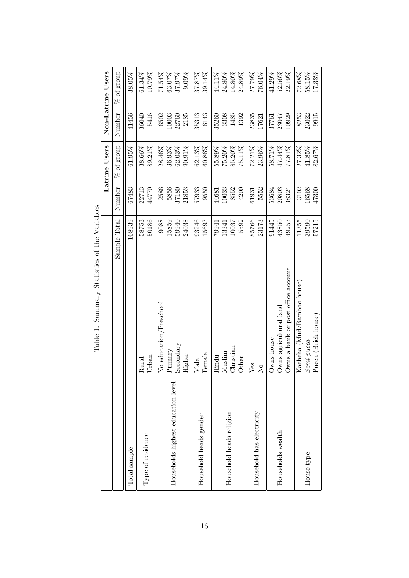|                                    | Table 1: Summary Statistics of the Variables |              |        |               |        |                   |
|------------------------------------|----------------------------------------------|--------------|--------|---------------|--------|-------------------|
|                                    |                                              |              |        | Latrine Users |        | Non-Latrine Users |
|                                    |                                              | Sample Total | Number | $\%$ of group | Number | $\%$ of group     |
| Total sample                       |                                              | 108939       | 67483  | 61.95%        | 41456  | 38.05%            |
| Type of residence                  | Urban                                        | 50186        | 22713  | 89.21%        | 5416   | 61.34%            |
|                                    | Rural                                        | 58753        | 44770  | 38.66%        | 36040  | 10.79%            |
| Households highest education level | No education/Preschool                       | 9088         | 5856   | 28.46%        | 2185   | 63.07%            |
|                                    | Secondary                                    | 24038        | 2586   | 36.93%        | 6502   | 71.54%            |
|                                    | $\rm{Primary}$                               | 15859        | 21853  | $62.03\%$     | 10003  | 37.97%            |
|                                    | Higher                                       | 59940        | 37180  | 90.91%        | 22760  | $9.09\%$          |
| Household heads gender             | Female                                       | 93246        | 57933  | 62.13%        | 35313  | 37.87%            |
|                                    | Male                                         | 15693        | 9550   | 60.86%        | 6143   | 39.14%            |
| Household heads religion           | Christian                                    | 5592         | 10033  | 55.89%        | 3308   | 44.11%            |
|                                    | Muslim                                       | 10037        | 8552   | 75.20%        | 1485   | 24.80%            |
|                                    | Hindu                                        | 13341        | 4200   | 75.11%        | 1392   | 14.80%            |
|                                    | Other                                        | 79941        | 44681  | 85.20%        | 35260  | 24.89%            |
| Household has electricity          | ${\rm Yes}$                                  | 85766        | 5552   | 23.96%        | 23835  | 27.79%            |
|                                    | $\overline{R}$                               | 23173        | 61931  | $72.21\%$     | 17621  | 76.04%            |
| Households wealth                  | Owns a bank or post office account           | 91445        | 20803  | 58.71%        | 23047  | 41.29%            |
|                                    | Owns agricultural land                       | 43850        | 53684  | 47.44%        | 10929  | $52.56\%$         |
|                                    | Owns house                                   | 49253        | 38324  | 77.81%        | 37761  | 22.19%            |
| House type                         | Kachcha (Mud/Bamboo house)                   | 57215        | 3102   | 27.32%        | 8253   | 72.68%            |
|                                    | Pucca (Brick house)                          | 11355        | 16568  | $41.85\%$     | 23022  | 58.15%            |
|                                    | $Semi$ - $pucca$                             | 39590        | 47300  | 82.67%        | 9915   | 17.33%            |

 $V_{\alpha}$   $\ddot{\alpha}$   $\ddot{\alpha}$  $\mathbf{f}$  +  $\mathbf{b}$  $St$ atisti $c$  $Table 1: S<sub>T</sub>$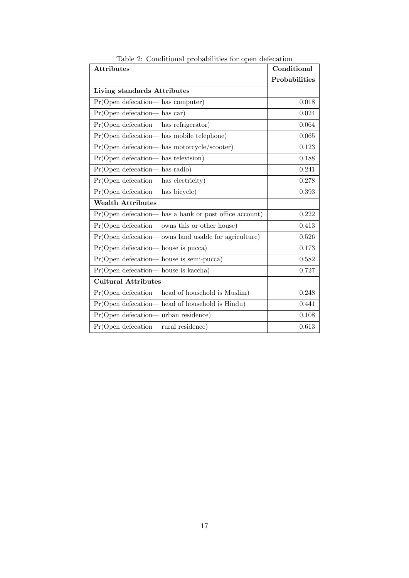| <b>Attributes</b>                                         | Conditional   |
|-----------------------------------------------------------|---------------|
|                                                           | Probabilities |
| Living standards Attributes                               |               |
| $Pr(Open\;detection$ — has computer)                      | 0.018         |
| $Pr(Open\ defecation$ — has car)                          | 0.024         |
| Pr(Open defecation- has refrigerator)                     | 0.064         |
| Pr(Open defecation— has mobile telephone)                 | 0.065         |
| Pr(Open defecation— has motorcycle/scooter)               | 0.123         |
| $Pr(Open\ defecation$ — has television)                   | 0.188         |
| $Pr(Open\;detection$ — has radio)                         | 0.241         |
| $Pr(Open\,\,detection$ — has electricity)                 | 0.278         |
| Pr(Open defecation-has bicycle)                           | 0.393         |
| <b>Wealth Attributes</b>                                  |               |
| $Pr(Open\;detection$ — has a bank or post office account) | 0.222         |
| $Pr(Open\,detection—owns\,this\,or\,other\,house)$        | 0.413         |
| $Pr(Open\;detection$ – owns land usable for agriculture)  | 0.526         |
| $Pr(Open\;detection$ —house is pucca)                     | 0.173         |
| $Pr(Open\ defecation$ house is semi-pucca)                | 0.582         |
| $Pr(Open\;detection$ house is kaccha)                     | 0.727         |
| <b>Cultural Attributes</b>                                |               |
| $Pr(Open\,detection$ head of household is Muslim)         | 0.248         |
| $Pr(Open\ defecation$ — head of household is Hindu)       | 0.441         |
| $Pr(Open\ defecation—urban\ residue)$                     | 0.108         |
| $Pr(Open\ defecation - rural\ residue)$                   | 0.613         |

Table 2: Conditional probabilities for open defecation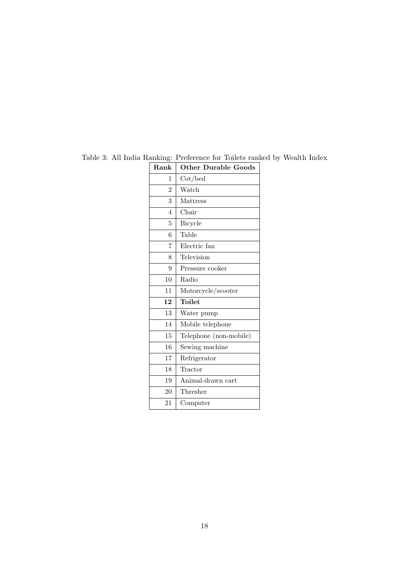| Rank           | <b>Other Durable Goods</b> |
|----------------|----------------------------|
| 1              | $\cot/bed$                 |
| $\overline{2}$ | Watch                      |
| 3              | Mattress                   |
| $\overline{4}$ | Chair                      |
| 5              | Bicycle                    |
| 6              | Table                      |
| 7              | Electric fan               |
| 8              | Television                 |
| 9              | Pressure cooker            |
| 10             | Radio                      |
| 11             | Motorcycle/scooter         |
| 12             | Toilet                     |
| 13             | Water pump                 |
| 14             | Mobile telephone           |
| 15             | Telephone (non-mobile)     |
| 16             | Sewing machine             |
| 17             | Refrigerator               |
| 18             | Tractor                    |
| 19             | Animal-drawn cart          |
| 20             | Thresher                   |
| 21             | Computer                   |

Table 3: All India Ranking: Preference for Toilets ranked by Wealth Index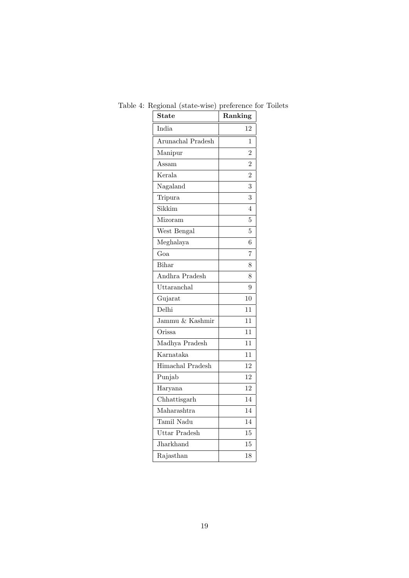| <b>State</b>      | Ranking        |
|-------------------|----------------|
| India             | 12             |
| Arunachal Pradesh | 1              |
| Manipur           | $\overline{2}$ |
| Assam             | 2              |
| Kerala            | $\overline{2}$ |
| Nagaland          | 3              |
| Tripura           | 3              |
| Sikkim            | 4              |
| Mizoram           | 5              |
| West Bengal       | 5              |
| Meghalaya         | 6              |
| Goa               | 7              |
| Bihar             | 8              |
| Andhra Pradesh    | 8              |
| Uttaranchal       | 9              |
| Gujarat           | 10             |
| Delhi             | 11             |
| Jammu & Kashmir   | 11             |
| Orissa            | 11             |
| Madhya Pradesh    | 11             |
| Karnataka         | 11             |
| Himachal Pradesh  | 12             |
| Punjab            | 12             |
| Haryana           | 12             |
| Chhattisgarh      | 14             |
| Maharashtra       | 14             |
| Tamil Nadu        | 14             |
| Uttar Pradesh     | 15             |
| Jharkhand         | 15             |
| Rajasthan         | 18             |

Table 4: Regional (state-wise) preference for Toilets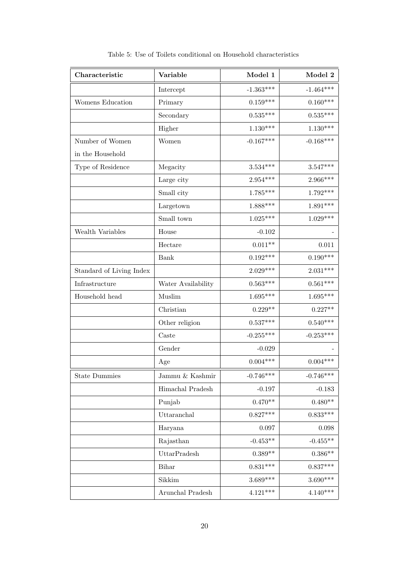| Characteristic           | Variable           | Model 1     | Model 2     |
|--------------------------|--------------------|-------------|-------------|
|                          | Intercept          | $-1.363***$ | $-1.464***$ |
| Womens Education         | Primary            | $0.159***$  | $0.160***$  |
|                          | Secondary          | $0.535***$  | $0.535***$  |
|                          | Higher             | $1.130***$  | $1.130***$  |
| Number of Women          | Women              | $-0.167***$ | $-0.168***$ |
| in the Household         |                    |             |             |
| Type of Residence        | Megacity           | $3.534***$  | $3.547***$  |
|                          | Large city         | $2.954***$  | $2.966***$  |
|                          | Small city         | $1.785***$  | $1.792***$  |
|                          | Largetown          | $1.888***$  | $1.891***$  |
|                          | Small town         | $1.025***$  | $1.029***$  |
| Wealth Variables         | House              | $-0.102$    |             |
|                          | Hectare            | $0.011**$   | 0.011       |
|                          | Bank               | $0.192***$  | $0.190***$  |
| Standard of Living Index |                    | $2.029***$  | $2.031***$  |
| Infrastructure           | Water Availability | $0.563***$  | $0.561***$  |
| Household head           | Muslim             | $1.695***$  | $1.695***$  |
|                          | Christian          | $0.229**$   | $0.227**$   |
|                          | Other religion     | $0.537***$  | $0.540***$  |
|                          | Caste              | $-0.255***$ | $-0.253***$ |
|                          | Gender             | $-0.029$    |             |
|                          | Age                | $0.004***$  | $0.004***$  |
| <b>State Dummies</b>     | Jammu $\&$ Kashmir | $-0.746***$ | $-0.746***$ |
|                          | Himachal Pradesh   | $-0.197$    | $-0.183$    |
|                          | Punjab             | $0.470**$   | $0.480**$   |
|                          | Uttaranchal        | $0.827***$  | $0.833***$  |
|                          | Haryana            | $0.097\,$   | $0.098\,$   |
|                          | Rajasthan          | $-0.453**$  | $-0.455**$  |
|                          | UttarPradesh       | $0.389**$   | $0.386**$   |
|                          | Bihar              | $0.831***$  | $0.837***$  |
|                          | Sikkim             | $3.689***$  | $3.690***$  |
|                          | Arunchal Pradesh   | $4.121***$  | $4.140***$  |

Table 5: Use of Toilets conditional on Household characteristics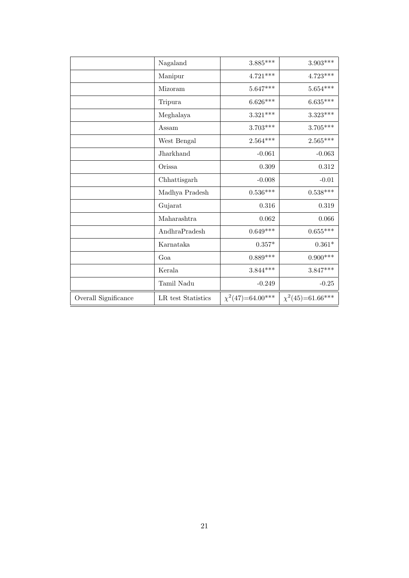|                      | Nagaland           | $3.885***$             | $3.903***$            |
|----------------------|--------------------|------------------------|-----------------------|
|                      | Manipur            | $4.721***$             | $4.723***$            |
|                      | Mizoram            | $5.647***$             | $5.654***$            |
|                      | Tripura            | $6.626***$             | $6.635***$            |
|                      | Meghalaya          | $3.321***$             | $3.323***$            |
|                      | Assam              | $3.703***$             | $3.705***$            |
|                      | West Bengal        | $2.564***$             | $2.565***$            |
|                      | Jharkhand          | $-0.061$               | $-0.063$              |
|                      | Orissa             | 0.309                  | 0.312                 |
|                      | Chhattisgarh       | $-0.008$               | $-0.01$               |
|                      | Madhya Pradesh     | $0.536^{\ast\ast\ast}$ | $0.538***$            |
|                      | Gujarat            | 0.316                  | 0.319                 |
|                      | Maharashtra        | 0.062                  | 0.066                 |
|                      | AndhraPradesh      | $0.649***$             | $0.655***$            |
|                      | Karnataka          | $0.357*$               | $0.361*$              |
|                      | Goa                | $0.889***$             | $0.900***$            |
|                      | Kerala             | $3.844***$             | $3.847***$            |
|                      | Tamil Nadu         | $-0.249$               | $-0.25$               |
| Overall Significance | LR test Statistics | $\chi^2(47)=64.00***$  | $\chi^2(45)=61.66***$ |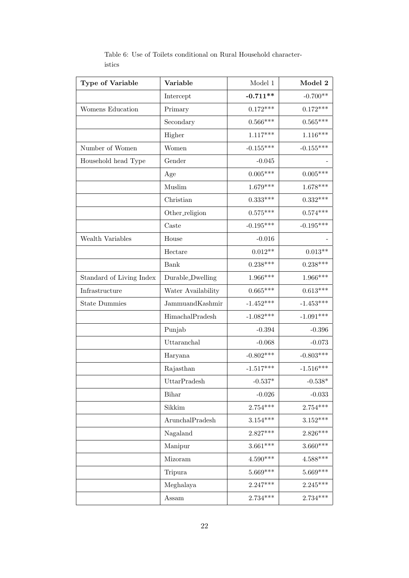| Type of Variable         | Variable           | Model 1     | Model 2     |
|--------------------------|--------------------|-------------|-------------|
|                          | Intercept          | $-0.711**$  | $-0.700**$  |
| Womens Education         | Primary            | $0.172***$  | $0.172***$  |
|                          | Secondary          | $0.566***$  | $0.565***$  |
|                          | Higher             | $1.117***$  | $1.116***$  |
| Number of Women          | Women              | $-0.155***$ | $-0.155***$ |
| Household head Type      | Gender             | $-0.045$    |             |
|                          | Age                | $0.005***$  | $0.005***$  |
|                          | Muslim             | $1.679***$  | $1.678***$  |
|                          | Christian          | $0.333***$  | $0.332***$  |
|                          | Other_religion     | $0.575***$  | $0.574***$  |
|                          | Caste              | $-0.195***$ | $-0.195***$ |
| Wealth Variables         | House              | $-0.016$    |             |
|                          | Hectare            | $0.012**$   | $0.013**$   |
|                          | Bank               | $0.238***$  | $0.238***$  |
| Standard of Living Index | Durable_Dwelling   | $1.966***$  | $1.966***$  |
| Infrastructure           | Water Availability | $0.665***$  | $0.613***$  |
| <b>State Dummies</b>     | JammuandKashmir    | $-1.452***$ | $-1.453***$ |
|                          | HimachalPradesh    | $-1.082***$ | $-1.091***$ |
|                          | Punjab             | $-0.394$    | $-0.396$    |
|                          | Uttaranchal        | $-0.068$    | $-0.073$    |
|                          | Haryana            | $-0.802***$ | $-0.803***$ |
|                          | Rajasthan          | $-1.517***$ | $-1.516***$ |
|                          | UttarPradesh       | $-0.537*$   | $-0.538*$   |
|                          | Bihar              | $-0.026$    | $-0.033$    |
|                          | Sikkim             | $2.754***$  | $2.754***$  |
|                          | ArunchalPradesh    | $3.154***$  | $3.152***$  |
|                          | Nagaland           | $2.827***$  | $2.826***$  |
|                          | Manipur            | $3.661***$  | $3.660***$  |
|                          | Mizoram            | $4.590***$  | $4.588***$  |
|                          | Tripura            | $5.669***$  | $5.669***$  |
|                          | Meghalaya          | $2.247***$  | $2.245***$  |
|                          | Assam              | $2.734***$  | $2.734***$  |

Table 6: Use of Toilets conditional on Rural Household characteristics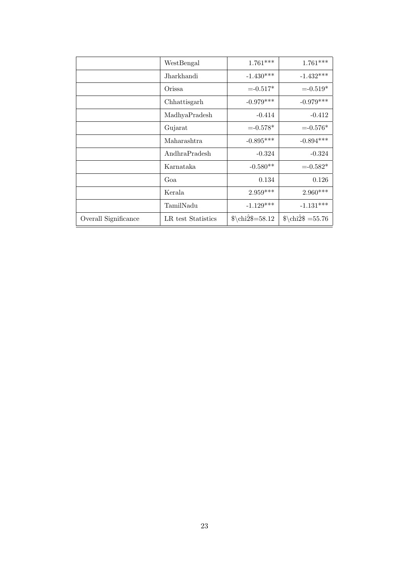|                      | WestBengal         | $1.761***$         | $1.761***$            |
|----------------------|--------------------|--------------------|-----------------------|
|                      | Jharkhandi         | $-1.430***$        | $-1.432***$           |
|                      | Orissa             | $= -0.517*$        | $= -0.519*$           |
|                      | Chhattisgarh       | $-0.979***$        | $-0.979***$           |
|                      | MadhyaPradesh      | $-0.414$           | $-0.412$              |
|                      | Gujarat            | $= -0.578*$        | $= -0.576*$           |
|                      | Maharashtra        | $-0.895***$        | $-0.894***$           |
|                      | AndhraPradesh      | $-0.324$           | $-0.324$              |
|                      | Karnataka          | $-0.580**$         | $= -0.582*$           |
|                      | Goa                | 0.134              | 0.126                 |
|                      | Kerala             | $2.959***$         | $2.960***$            |
|                      | TamilNadu          | $-1.129***$        | $-1.131***$           |
| Overall Significance | LR test Statistics | $\chi\chi\$ =58.12 | $\chi \chi^2 = 55.76$ |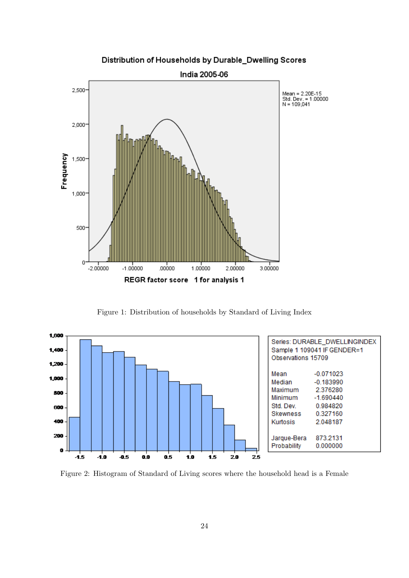

Distribution of Households by Durable\_Dwelling Scores

Figure 1: Distribution of households by Standard of Living Index



Figure 2: Histogram of Standard of Living scores where the household head is a Female